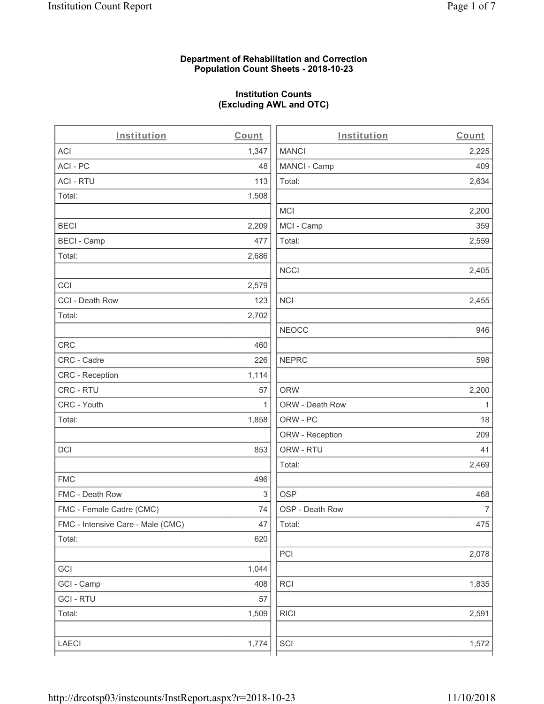# **Department of Rehabilitation and Correction Population Count Sheets - 2018-10-23**

# **Institution Counts (Excluding AWL and OTC)**

| Institution                       | Count        | Institution     | Count        |
|-----------------------------------|--------------|-----------------|--------------|
| ACI                               | 1,347        | <b>MANCI</b>    | 2,225        |
| ACI - PC                          | 48           | MANCI - Camp    | 409          |
| <b>ACI - RTU</b>                  | 113          | Total:          | 2,634        |
| Total:                            | 1,508        |                 |              |
|                                   |              | <b>MCI</b>      | 2,200        |
| <b>BECI</b>                       | 2,209        | MCI - Camp      | 359          |
| <b>BECI - Camp</b>                | 477          | Total:          | 2,559        |
| Total:                            | 2,686        |                 |              |
|                                   |              | <b>NCCI</b>     | 2,405        |
| CCI                               | 2,579        |                 |              |
| CCI - Death Row                   | 123          | <b>NCI</b>      | 2,455        |
| Total:                            | 2,702        |                 |              |
|                                   |              | <b>NEOCC</b>    | 946          |
| CRC                               | 460          |                 |              |
| CRC - Cadre                       | 226          | <b>NEPRC</b>    | 598          |
| CRC - Reception                   | 1,114        |                 |              |
| CRC - RTU                         | 57           | <b>ORW</b>      | 2,200        |
| CRC - Youth                       | $\mathbf{1}$ | ORW - Death Row | $\mathbf{1}$ |
| Total:                            | 1,858        | ORW - PC        | 18           |
|                                   |              | ORW - Reception | 209          |
| DCI                               | 853          | ORW - RTU       | 41           |
|                                   |              | Total:          | 2,469        |
| <b>FMC</b>                        | 496          |                 |              |
| FMC - Death Row                   | 3            | <b>OSP</b>      | 468          |
| FMC - Female Cadre (CMC)          | 74           | OSP - Death Row | 7            |
| FMC - Intensive Care - Male (CMC) | 47           | Total:          | 475          |
| Total:                            | 620          |                 |              |
|                                   |              | PCI             | 2,078        |
| GCI                               | 1,044        |                 |              |
| GCI - Camp                        | 408          | RCI             | 1,835        |
| <b>GCI - RTU</b>                  | 57           |                 |              |
| Total:                            | 1,509        | <b>RICI</b>     | 2,591        |
|                                   |              |                 |              |
| LAECI                             | 1,774        | SCI             | 1,572        |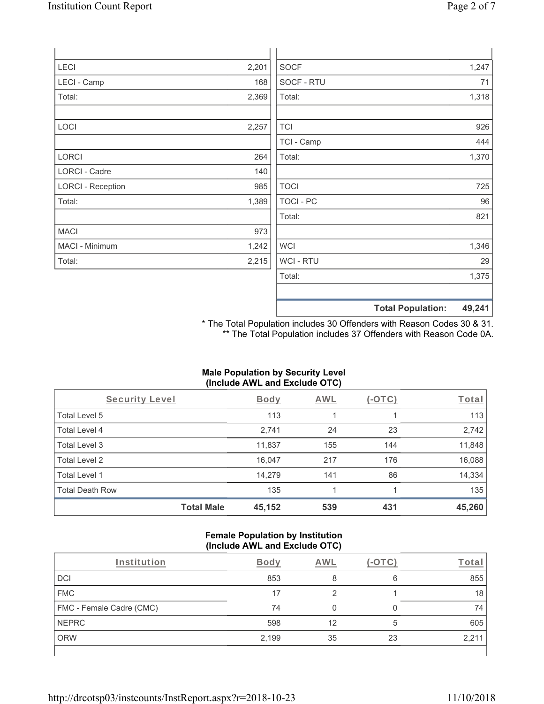| <b>LECI</b>              | 2,201 | <b>SOCF</b>      | 1,247                              |
|--------------------------|-------|------------------|------------------------------------|
| LECI - Camp              | 168   | SOCF - RTU       | 71                                 |
| Total:                   | 2,369 | Total:           | 1,318                              |
|                          |       |                  |                                    |
| LOCI                     | 2,257 | <b>TCI</b>       | 926                                |
|                          |       | TCI - Camp       | 444                                |
| <b>LORCI</b>             | 264   | Total:           | 1,370                              |
| LORCI - Cadre            | 140   |                  |                                    |
| <b>LORCI - Reception</b> | 985   | <b>TOCI</b>      | 725                                |
| Total:                   | 1,389 | <b>TOCI - PC</b> | 96                                 |
|                          |       | Total:           | 821                                |
| <b>MACI</b>              | 973   |                  |                                    |
| MACI - Minimum           | 1,242 | <b>WCI</b>       | 1,346                              |
| Total:                   | 2,215 | WCI - RTU        | 29                                 |
|                          |       | Total:           | 1,375                              |
|                          |       |                  |                                    |
|                          |       |                  | <b>Total Population:</b><br>49,241 |

\* The Total Population includes 30 Offenders with Reason Codes 30 & 31. \*\* The Total Population includes 37 Offenders with Reason Code 0A.

# **Male Population by Security Level (Include AWL and Exclude OTC)**

| <b>Security Level</b>  |                   | <b>Body</b> | AWL | (-OTC) | <u>Total</u> |
|------------------------|-------------------|-------------|-----|--------|--------------|
| Total Level 5          |                   | 113         |     |        | 113          |
| <b>Total Level 4</b>   |                   | 2,741       | 24  | 23     | 2,742        |
| Total Level 3          |                   | 11,837      | 155 | 144    | 11,848       |
| Total Level 2          |                   | 16,047      | 217 | 176    | 16,088       |
| Total Level 1          |                   | 14,279      | 141 | 86     | 14,334       |
| <b>Total Death Row</b> |                   | 135         |     |        | 135          |
|                        | <b>Total Male</b> | 45,152      | 539 | 431    | 45,260       |

#### **Female Population by Institution (Include AWL and Exclude OTC)**

| Institution              | Bodv  | AWL |    | ⊺ota |
|--------------------------|-------|-----|----|------|
| <b>DCI</b>               | 853   |     | 6  | 855  |
| <b>FMC</b>               | 17    | C   |    | 18   |
| FMC - Female Cadre (CMC) | 74    |     |    | 74   |
| <b>NEPRC</b>             | 598   | 12  | 5  | 605  |
| <b>ORW</b>               | 2,199 | 35  | 23 | 2,21 |
|                          |       |     |    |      |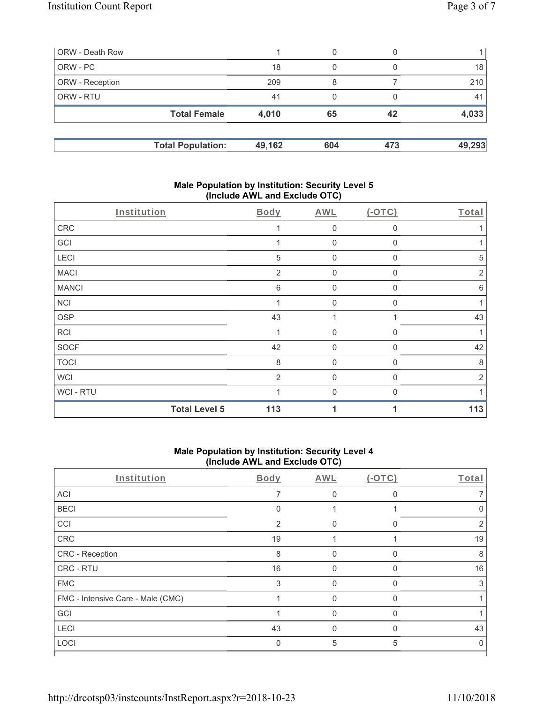|       | 0                                               |        |            |
|-------|-------------------------------------------------|--------|------------|
| 18    | 0                                               |        | 18         |
| 209   | 8                                               |        | 210        |
| 41    | 0                                               |        | 41         |
| 4,010 | 65                                              | 42     | 4,033      |
|       |                                                 |        | 49,293     |
|       | <b>Total Female</b><br><b>Total Population:</b> | 49,162 | 604<br>473 |

# **Male Population by Institution: Security Level 5 (Include AWL and Exclude OTC)**

| Institution  |                      | Body           | <b>AWL</b>       | $(-OTC)$     | Total |
|--------------|----------------------|----------------|------------------|--------------|-------|
| ${\sf CRC}$  |                      |                | $\mathbf 0$      | 0            |       |
| GCI          |                      | 1              | $\boldsymbol{0}$ | $\mathbf 0$  |       |
| LECI         |                      | 5              | $\mathbf 0$      | $\Omega$     | 5     |
| <b>MACI</b>  |                      | $\overline{2}$ | 0                | $\Omega$     | 2     |
| <b>MANCI</b> |                      | 6              | $\boldsymbol{0}$ | 0            | 6     |
| <b>NCI</b>   |                      | 1              | 0                | $\mathbf{0}$ |       |
| <b>OSP</b>   |                      | 43             | 1                |              | 43    |
| <b>RCI</b>   |                      | 1              | $\mathbf 0$      | $\Omega$     |       |
| SOCF         |                      | 42             | $\boldsymbol{0}$ | $\Omega$     | 42    |
| <b>TOCI</b>  |                      | 8              | $\overline{0}$   | $\Omega$     | 8     |
| <b>WCI</b>   |                      | 2              | $\mathbf{0}$     | $\Omega$     | 2     |
| WCI - RTU    |                      |                | $\overline{0}$   | $\Omega$     |       |
|              | <b>Total Level 5</b> | 113            | 1                |              | 113   |

# **Male Population by Institution: Security Level 4 (Include AWL and Exclude OTC)**

| Institution                       | Body           | AWL          | $(-OTC)$ | Total |
|-----------------------------------|----------------|--------------|----------|-------|
| ACI                               | 7              | 0            | $\Omega$ |       |
| <b>BECI</b>                       | $\Omega$       |              |          |       |
| CCI                               | $\overline{2}$ |              | U        | 2     |
| CRC                               | 19             |              |          | 19    |
| CRC - Reception                   | 8              |              | U        | 8     |
| CRC - RTU                         | 16             | <sup>0</sup> | O        | 16    |
| <b>FMC</b>                        | 3              | $\Omega$     | $\Omega$ | 3     |
| FMC - Intensive Care - Male (CMC) |                | $\Omega$     | $\Omega$ |       |
| GCI                               |                | $\Omega$     | $\Omega$ |       |
| LECI                              | 43             | $\Omega$     | $\Omega$ | 43    |
| LOCI                              | 0              | 5            | 5        |       |
|                                   |                |              |          |       |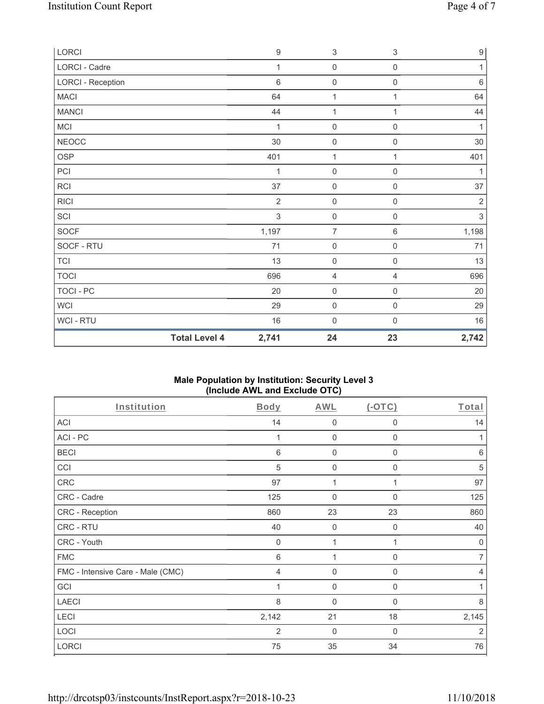| LORCI             |                      | $\boldsymbol{9}$ | $\ensuremath{\mathsf{3}}$ | $\ensuremath{\mathsf{3}}$ | $\boldsymbol{9}$ |
|-------------------|----------------------|------------------|---------------------------|---------------------------|------------------|
| LORCI - Cadre     |                      | 1                | $\mathbf 0$               | $\mathsf{O}\xspace$       | 1                |
| LORCI - Reception |                      | $6\phantom{1}6$  | $\mathsf{O}\xspace$       | $\mathsf{O}\xspace$       | $\,6\,$          |
| <b>MACI</b>       |                      | 64               | $\mathbf{1}$              | 1                         | 64               |
| <b>MANCI</b>      |                      | 44               | 1                         | 1                         | 44               |
| MCI               |                      | 1                | $\mathsf{O}\xspace$       | $\mathsf{O}\xspace$       | $\mathbf{1}$     |
| <b>NEOCC</b>      |                      | $30\,$           | $\mathsf{O}\xspace$       | $\mathsf{O}\xspace$       | 30               |
| <b>OSP</b>        |                      | 401              | 1                         | 1                         | 401              |
| PCI               |                      | 1                | $\mathsf{O}\xspace$       | $\mathsf{O}\xspace$       | 1                |
| RCI               |                      | 37               | $\mathsf{O}\xspace$       | $\mathsf{O}\xspace$       | 37               |
| <b>RICI</b>       |                      | $\overline{2}$   | $\mathsf{O}\xspace$       | $\mathsf{O}\xspace$       | $\sqrt{2}$       |
| SCI               |                      | $\sqrt{3}$       | $\mathsf{O}\xspace$       | $\mathsf{O}\xspace$       | $\sqrt{3}$       |
| SOCF              |                      | 1,197            | $\overline{7}$            | $\,6\,$                   | 1,198            |
| SOCF - RTU        |                      | 71               | $\mathsf{O}\xspace$       | $\mathsf{O}\xspace$       | 71               |
| <b>TCI</b>        |                      | 13               | $\mathsf{O}\xspace$       | $\mathsf{O}\xspace$       | 13               |
| <b>TOCI</b>       |                      | 696              | $\overline{4}$            | $\overline{4}$            | 696              |
| <b>TOCI - PC</b>  |                      | 20               | $\mathsf 0$               | 0                         | 20               |
| <b>WCI</b>        |                      | 29               | $\mathsf{O}\xspace$       | $\mathbf 0$               | 29               |
| WCI-RTU           |                      | 16               | $\mathsf{O}\xspace$       | $\mathsf{O}\xspace$       | 16               |
|                   | <b>Total Level 4</b> | 2,741            | 24                        | 23                        | 2,742            |

# **Male Population by Institution: Security Level 3 (Include AWL and Exclude OTC)**

| Institution                       | Body           | <b>AWL</b>     | $(-OTC)$     | Total          |
|-----------------------------------|----------------|----------------|--------------|----------------|
| <b>ACI</b>                        | 14             | $\mathbf 0$    | 0            | 14             |
| ACI-PC                            |                | $\mathbf 0$    | $\mathbf 0$  | 1              |
| <b>BECI</b>                       | 6              | $\mathbf 0$    | $\mathbf 0$  | 6              |
| CCI                               | $\sqrt{5}$     | $\mathbf 0$    | $\mathbf 0$  | $\sqrt{5}$     |
| CRC                               | 97             | 1              |              | 97             |
| CRC - Cadre                       | 125            | $\mathbf 0$    | 0            | 125            |
| CRC - Reception                   | 860            | 23             | 23           | 860            |
| CRC - RTU                         | 40             | $\mathbf 0$    | $\mathbf 0$  | 40             |
| CRC - Youth                       | $\mathbf 0$    | 1              | 1            | $\mathbf 0$    |
| <b>FMC</b>                        | 6              | 1              | 0            | $\overline{7}$ |
| FMC - Intensive Care - Male (CMC) | $\overline{4}$ | $\overline{0}$ | $\mathbf{0}$ | $\overline{4}$ |
| GCI                               |                | $\mathbf 0$    | 0            |                |
| <b>LAECI</b>                      | 8              | $\mathbf 0$    | 0            | 8              |
| LECI                              | 2,142          | 21             | 18           | 2,145          |
| LOCI                              | 2              | $\mathbf{0}$   | $\Omega$     | 2              |
| <b>LORCI</b>                      | 75             | 35             | 34           | 76             |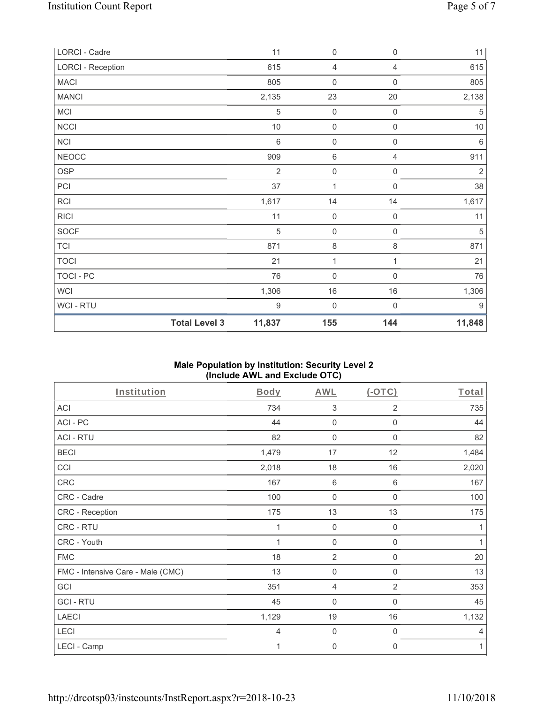| LORCI - Cadre            |                      | 11               | $\mathbf 0$         | $\boldsymbol{0}$    | 11         |
|--------------------------|----------------------|------------------|---------------------|---------------------|------------|
| <b>LORCI - Reception</b> |                      | 615              | $\overline{4}$      | 4                   | 615        |
| <b>MACI</b>              |                      | 805              | $\mathbf 0$         | $\boldsymbol{0}$    | 805        |
| <b>MANCI</b>             |                      | 2,135            | 23                  | $20\,$              | 2,138      |
| MCI                      |                      | 5                | $\mathsf{O}\xspace$ | 0                   | 5          |
| <b>NCCI</b>              |                      | $10$             | $\mathsf{O}\xspace$ | 0                   | $10$       |
| <b>NCI</b>               |                      | $6\,$            | $\mathsf{O}\xspace$ | $\mathsf{O}\xspace$ | $6\,$      |
| <b>NEOCC</b>             |                      | 909              | $\,6\,$             | 4                   | 911        |
| <b>OSP</b>               |                      | $\overline{2}$   | $\mathsf{O}\xspace$ | $\mathsf{O}\xspace$ | $\sqrt{2}$ |
| PCI                      |                      | 37               | 1                   | $\mathsf{O}\xspace$ | 38         |
| RCI                      |                      | 1,617            | 14                  | 14                  | 1,617      |
| <b>RICI</b>              |                      | 11               | $\mathbf 0$         | $\mathsf{O}\xspace$ | 11         |
| SOCF                     |                      | 5                | $\mathbf 0$         | $\mathsf 0$         | 5          |
| <b>TCI</b>               |                      | 871              | $\,8\,$             | $\,8\,$             | 871        |
| <b>TOCI</b>              |                      | 21               | 1                   | 1                   | 21         |
| TOCI - PC                |                      | 76               | $\mathsf{O}\xspace$ | $\mathsf{O}\xspace$ | 76         |
| <b>WCI</b>               |                      | 1,306            | $16\,$              | $16\,$              | 1,306      |
| WCI - RTU                |                      | $\boldsymbol{9}$ | $\mathsf{O}\xspace$ | $\boldsymbol{0}$    | $9\,$      |
|                          | <b>Total Level 3</b> | 11,837           | 155                 | 144                 | 11,848     |

# **Male Population by Institution: Security Level 2 (Include AWL and Exclude OTC)**

| Institution                       | Body  | <b>AWL</b>          | $(-OTC)$         | Total |
|-----------------------------------|-------|---------------------|------------------|-------|
| ACI                               | 734   | 3                   | $\overline{2}$   | 735   |
| ACI-PC                            | 44    | $\mathbf 0$         | $\mathbf 0$      | 44    |
| <b>ACI - RTU</b>                  | 82    | $\mathbf 0$         | $\boldsymbol{0}$ | 82    |
| <b>BECI</b>                       | 1,479 | 17                  | 12               | 1,484 |
| CCI                               | 2,018 | 18                  | 16               | 2,020 |
| CRC                               | 167   | $\,6\,$             | $\,6$            | 167   |
| CRC - Cadre                       | 100   | $\mathbf 0$         | 0                | 100   |
| CRC - Reception                   | 175   | 13                  | 13               | 175   |
| CRC - RTU                         | 1     | $\mathbf 0$         | $\boldsymbol{0}$ | 1     |
| CRC - Youth                       |       | $\mathsf{O}\xspace$ | $\mathbf 0$      | 1     |
| <b>FMC</b>                        | 18    | $\overline{2}$      | $\boldsymbol{0}$ | 20    |
| FMC - Intensive Care - Male (CMC) | 13    | $\mathbf 0$         | $\mathbf 0$      | 13    |
| GCI                               | 351   | $\overline{4}$      | 2                | 353   |
| <b>GCI-RTU</b>                    | 45    | $\overline{0}$      | $\mathbf 0$      | 45    |
| <b>LAECI</b>                      | 1,129 | 19                  | 16               | 1,132 |
| LECI                              | 4     | $\boldsymbol{0}$    | $\boldsymbol{0}$ | 4     |
| LECI - Camp                       | 1     | $\boldsymbol{0}$    | $\boldsymbol{0}$ | 1     |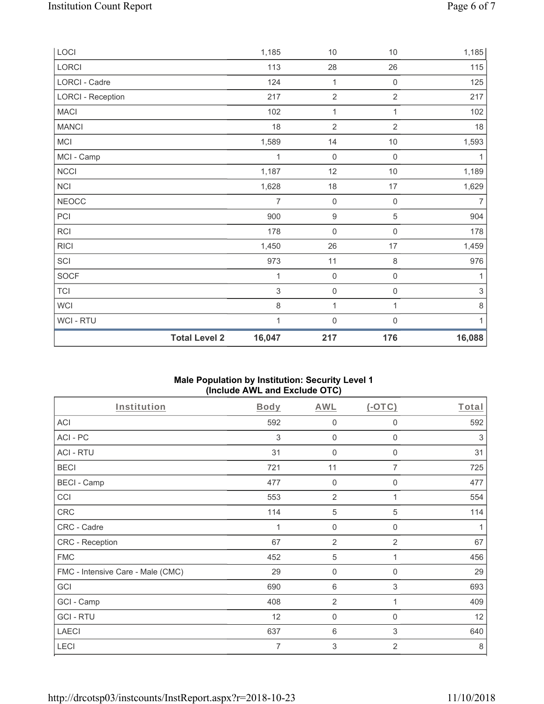|                          | <b>Total Level 2</b> | 16,047 | 217                 | 176                 | 16,088                    |
|--------------------------|----------------------|--------|---------------------|---------------------|---------------------------|
| WCI - RTU                |                      | 1      | $\mathbf 0$         | $\mathbf 0$         | $\mathbf{1}$              |
| <b>WCI</b>               |                      | 8      | 1                   | 1                   | $\,8\,$                   |
| <b>TCI</b>               |                      | 3      | $\mathsf{O}\xspace$ | $\mathsf{O}\xspace$ | $\ensuremath{\mathsf{3}}$ |
| <b>SOCF</b>              |                      | 1      | $\mathsf{O}\xspace$ | $\mathsf 0$         | 1                         |
| SCI                      |                      | 973    | 11                  | 8                   | 976                       |
| <b>RICI</b>              |                      | 1,450  | 26                  | 17                  | 1,459                     |
| <b>RCI</b>               |                      | 178    | $\mathsf{O}\xspace$ | $\mathsf{O}\xspace$ | 178                       |
| PCI                      |                      | 900    | $\boldsymbol{9}$    | $\mathbf 5$         | 904                       |
| <b>NEOCC</b>             |                      | 7      | $\mathsf{O}\xspace$ | $\mathsf{O}\xspace$ | $\overline{7}$            |
| <b>NCI</b>               |                      | 1,628  | 18                  | 17                  | 1,629                     |
| <b>NCCI</b>              |                      | 1,187  | 12                  | $10$                | 1,189                     |
| MCI - Camp               |                      | 1      | $\mathsf{O}\xspace$ | $\mathsf{O}\xspace$ | 1                         |
| <b>MCI</b>               |                      | 1,589  | 14                  | $10$                | 1,593                     |
| <b>MANCI</b>             |                      | 18     | $\overline{2}$      | $\overline{2}$      | 18                        |
| <b>MACI</b>              |                      | 102    | 1                   | 1                   | 102                       |
| <b>LORCI - Reception</b> |                      | 217    | $\overline{2}$      | $\overline{2}$      | 217                       |
| LORCI - Cadre            |                      | 124    | $\mathbf{1}$        | $\mathsf 0$         | 125                       |
| LORCI                    |                      | 113    | 28                  | 26                  | 115                       |
| LOCI                     |                      | 1,185  | $10$                | $10$                | 1,185                     |

# **Male Population by Institution: Security Level 1 (Include AWL and Exclude OTC)**

| Institution                       | Body | <b>AWL</b>     | $(-OTC)$       | Total |
|-----------------------------------|------|----------------|----------------|-------|
| <b>ACI</b>                        | 592  | 0              | 0              | 592   |
| ACI-PC                            | 3    | $\mathbf 0$    | $\mathbf 0$    | 3     |
| <b>ACI - RTU</b>                  | 31   | $\mathbf 0$    | $\mathbf 0$    | 31    |
| <b>BECI</b>                       | 721  | 11             | $\overline{7}$ | 725   |
| <b>BECI - Camp</b>                | 477  | $\mathbf 0$    | 0              | 477   |
| CCI                               | 553  | $\overline{2}$ |                | 554   |
| CRC                               | 114  | $\,$ 5 $\,$    | 5              | 114   |
| CRC - Cadre                       | 1    | $\mathbf 0$    | $\mathbf 0$    | 1     |
| CRC - Reception                   | 67   | $\overline{2}$ | $\overline{2}$ | 67    |
| <b>FMC</b>                        | 452  | $\sqrt{5}$     | 1              | 456   |
| FMC - Intensive Care - Male (CMC) | 29   | $\mathbf 0$    | 0              | 29    |
| GCI                               | 690  | 6              | 3              | 693   |
| GCI - Camp                        | 408  | $\overline{2}$ | 1              | 409   |
| <b>GCI-RTU</b>                    | 12   | $\overline{0}$ | 0              | 12    |
| <b>LAECI</b>                      | 637  | 6              | 3              | 640   |
| LECI                              | 7    | 3              | 2              | 8     |